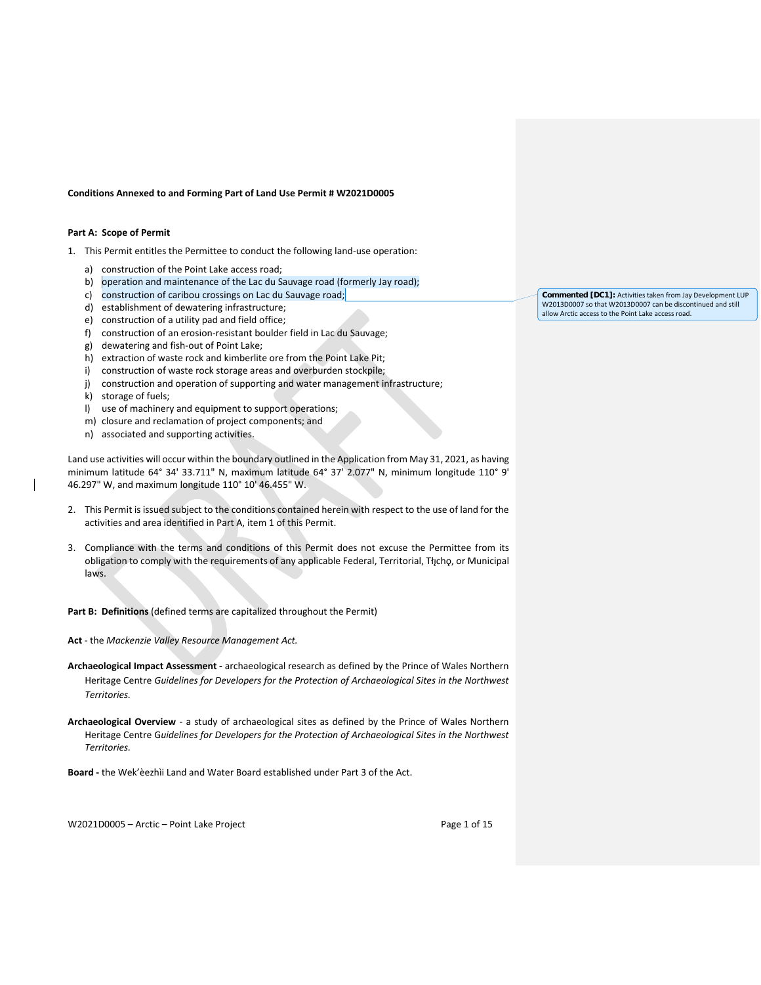#### **Conditions Annexed to and Forming Part of Land Use Permit # W2021D0005**

### **Part A: Scope of Permit**

- 1. This Permit entitles the Permittee to conduct the following land-use operation:
	- a) construction of the Point Lake access road;
	- b) operation and maintenance of the Lac du Sauvage road (formerly Jay road);
	- c) construction of caribou crossings on Lac du Sauvage road;
	- d) establishment of dewatering infrastructure;
	- e) construction of a utility pad and field office;
	- f) construction of an erosion-resistant boulder field in Lac du Sauvage;
	- g) dewatering and fish-out of Point Lake;
	- h) extraction of waste rock and kimberlite ore from the Point Lake Pit;
	- i) construction of waste rock storage areas and overburden stockpile;
	- j) construction and operation of supporting and water management infrastructure;
	- k) storage of fuels;
	- l) use of machinery and equipment to support operations;
	- m) closure and reclamation of project components; and
	- n) associated and supporting activities.

Land use activities will occur within the boundary outlined in the Application from May 31, 2021, as having minimum latitude 64° 34' 33.711" N, maximum latitude 64° 37' 2.077" N, minimum longitude 110° 9' 46.297" W, and maximum longitude 110° 10' 46.455" W.

- 2. This Permit is issued subject to the conditions contained herein with respect to the use of land for the activities and area identified in Part A, item 1 of this Permit.
- 3. Compliance with the terms and conditions of this Permit does not excuse the Permittee from its obligation to comply with the requirements of any applicable Federal, Territorial, Tłįchǫ, or Municipal laws.

**Part B: Definitions** (defined terms are capitalized throughout the Permit)

**Act** - the *Mackenzie Valley Resource Management Act.*

- **Archaeological Impact Assessment -** archaeological research as defined by the Prince of Wales Northern Heritage Centre *Guidelines for Developers for the Protection of Archaeological Sites in the Northwest Territories.*
- **Archaeological Overview**  a study of archaeological sites as defined by the Prince of Wales Northern Heritage Centre G*uidelines for Developers for the Protection of Archaeological Sites in the Northwest Territories.*

**Board -** the Wek'èezhìi Land and Water Board established under Part 3 of the Act.

W2021D0005 – Arctic – Point Lake Project Page 1 of 15

**Commented [DC1]:** Activities taken from Jay Development LUP W2013D0007 so that W2013D0007 can be discontinued and still allow Arctic access to the Point Lake access road.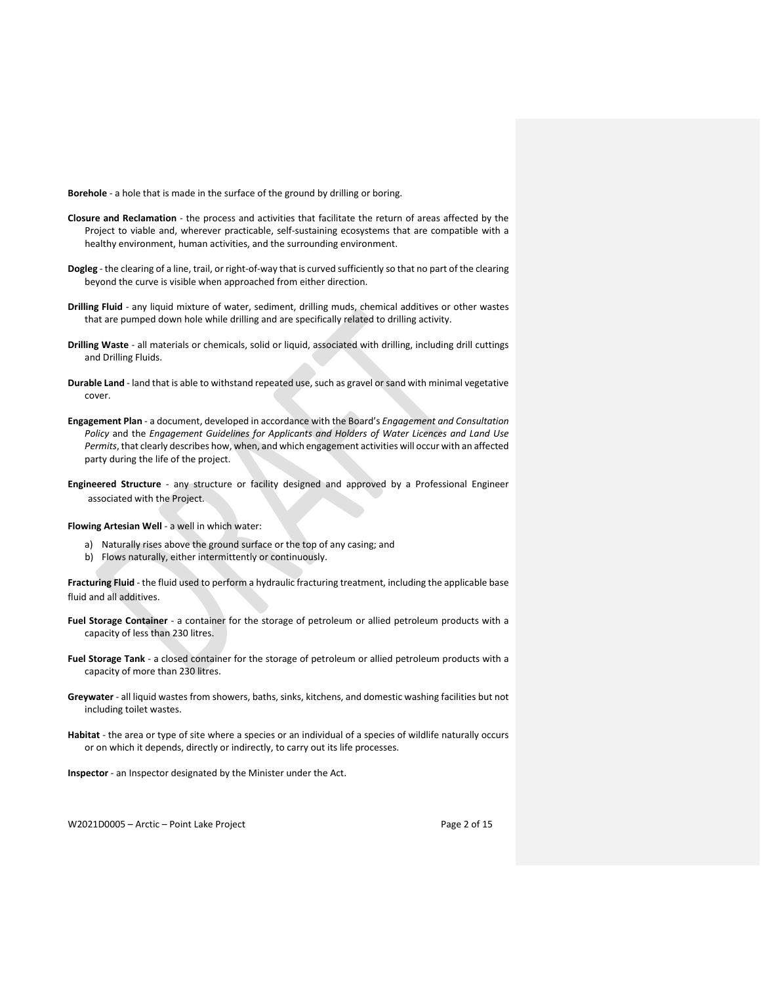**Borehole** - a hole that is made in the surface of the ground by drilling or boring.

- **Closure and Reclamation** the process and activities that facilitate the return of areas affected by the Project to viable and, wherever practicable, self-sustaining ecosystems that are compatible with a healthy environment, human activities, and the surrounding environment.
- **Dogleg** the clearing of a line, trail, or right-of-way that is curved sufficiently so that no part of the clearing beyond the curve is visible when approached from either direction.
- **Drilling Fluid**  any liquid mixture of water, sediment, drilling muds, chemical additives or other wastes that are pumped down hole while drilling and are specifically related to drilling activity.
- **Drilling Waste** all materials or chemicals, solid or liquid, associated with drilling, including drill cuttings and Drilling Fluids.
- **Durable Land** land that is able to withstand repeated use, such as gravel or sand with minimal vegetative cover.
- **Engagement Plan**  a document, developed in accordance with the Board's *Engagement and Consultation Policy* and the *Engagement Guidelines for Applicants and Holders of Water Licences and Land Use Permits*, that clearly describes how, when, and which engagement activities will occur with an affected party during the life of the project.
- **Engineered Structure** any structure or facility designed and approved by a Professional Engineer associated with the Project.

**Flowing Artesian Well** - a well in which water:

- a) Naturally rises above the ground surface or the top of any casing; and
- b) Flows naturally, either intermittently or continuously.

**Fracturing Fluid** - the fluid used to perform a hydraulic fracturing treatment, including the applicable base fluid and all additives.

- **Fuel Storage Container** a container for the storage of petroleum or allied petroleum products with a capacity of less than 230 litres.
- **Fuel Storage Tank**  a closed container for the storage of petroleum or allied petroleum products with a capacity of more than 230 litres.
- **Greywater** all liquid wastes from showers, baths, sinks, kitchens, and domestic washing facilities but not including toilet wastes.
- **Habitat** the area or type of site where a species or an individual of a species of wildlife naturally occurs or on which it depends, directly or indirectly, to carry out its life processes.

**Inspector** - an Inspector designated by the Minister under the Act.

W2021D0005 – Arctic – Point Lake Project Page 2 of 15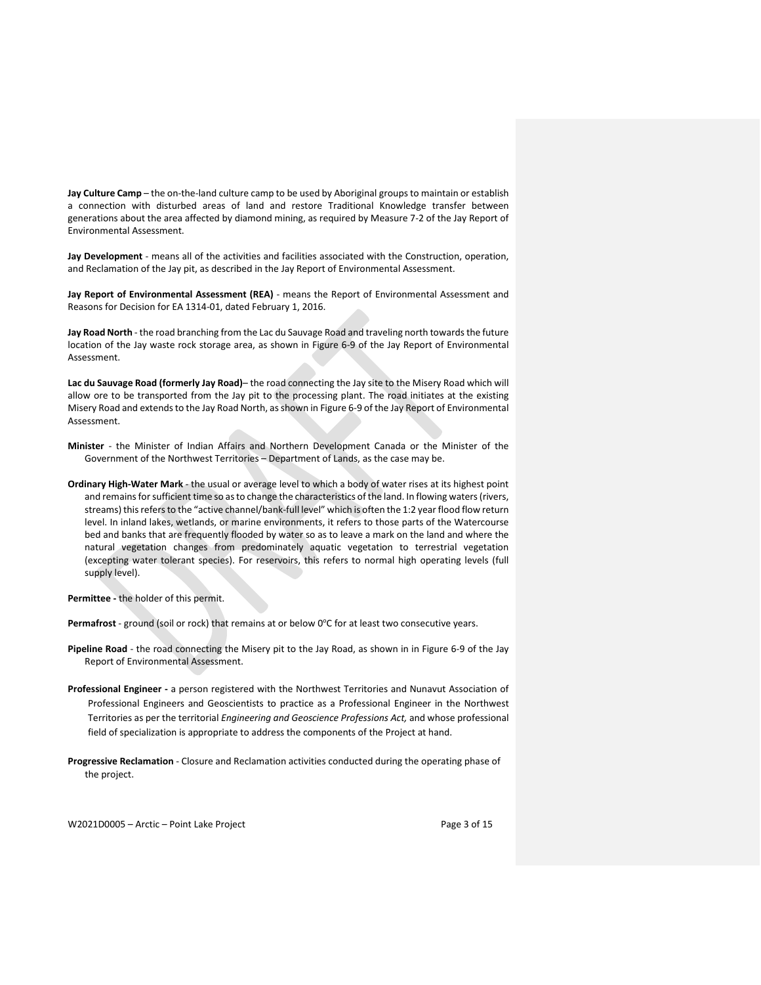**Jay Culture Camp** – the on-the-land culture camp to be used by Aboriginal groups to maintain or establish a connection with disturbed areas of land and restore Traditional Knowledge transfer between generations about the area affected by diamond mining, as required by Measure 7-2 of the Jay Report of Environmental Assessment.

**Jay Development** - means all of the activities and facilities associated with the Construction, operation, and Reclamation of the Jay pit, as described in the Jay Report of Environmental Assessment.

**Jay Report of Environmental Assessment (REA)** - means the Report of Environmental Assessment and Reasons for Decision for EA 1314-01, dated February 1, 2016.

**Jay Road North** - the road branching from the Lac du Sauvage Road and traveling north towards the future location of the Jay waste rock storage area, as shown in Figure 6-9 of the Jay Report of Environmental Assessment.

**Lac du Sauvage Road (formerly Jay Road)**– the road connecting the Jay site to the Misery Road which will allow ore to be transported from the Jay pit to the processing plant. The road initiates at the existing Misery Road and extends to the Jay Road North, as shown in Figure 6-9 of the Jay Report of Environmental Assessment.

- **Minister** the Minister of Indian Affairs and Northern Development Canada or the Minister of the Government of the Northwest Territories – Department of Lands, as the case may be.
- **Ordinary High-Water Mark**  the usual or average level to which a body of water rises at its highest point and remains for sufficient time so as to change the characteristics of the land. In flowing waters (rivers, streams) this refers to the "active channel/bank-full level" which is often the 1:2 year flood flow return level. In inland lakes, wetlands, or marine environments, it refers to those parts of the Watercourse bed and banks that are frequently flooded by water so as to leave a mark on the land and where the natural vegetation changes from predominately aquatic vegetation to terrestrial vegetation (excepting water tolerant species). For reservoirs, this refers to normal high operating levels (full supply level).

**Permittee -** the holder of this permit.

Permafrost - ground (soil or rock) that remains at or below 0°C for at least two consecutive years.

- **Pipeline Road** the road connecting the Misery pit to the Jay Road, as shown in in Figure 6-9 of the Jay Report of Environmental Assessment.
- **Professional Engineer -** a person registered with the Northwest Territories and Nunavut Association of Professional Engineers and Geoscientists to practice as a Professional Engineer in the Northwest Territories as per the territorial *Engineering and Geoscience Professions Act,* and whose professional field of specialization is appropriate to address the components of the Project at hand.
- **Progressive Reclamation**  Closure and Reclamation activities conducted during the operating phase of the project.

W2021D0005 – Arctic – Point Lake Project Page 3 of 15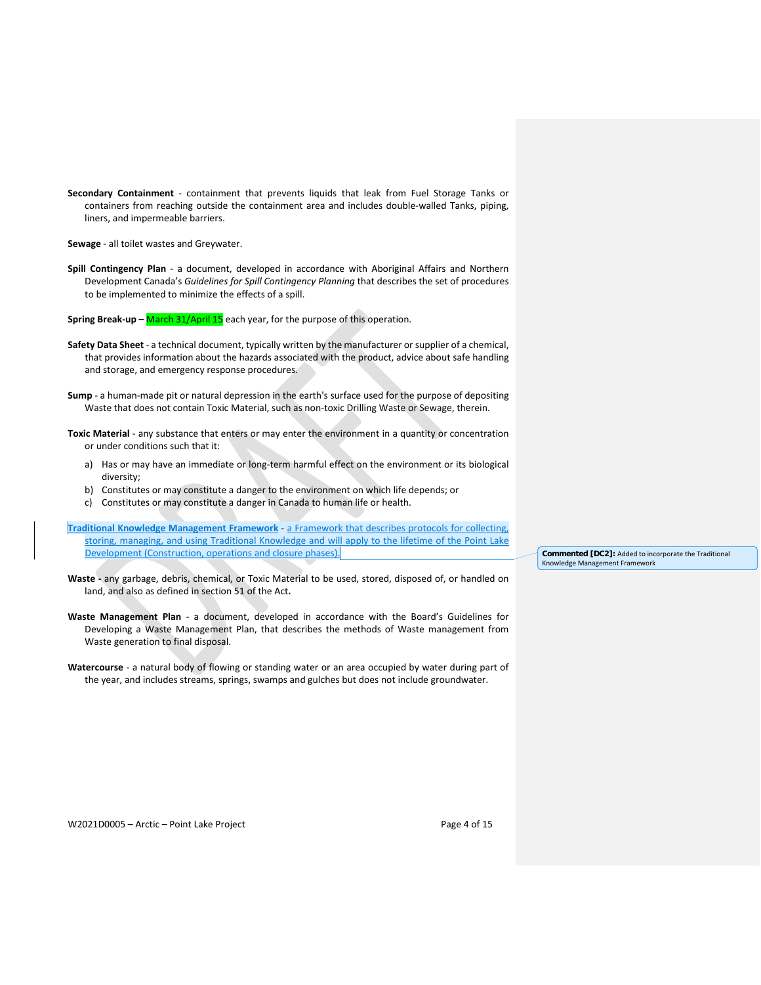**Secondary Containment** - containment that prevents liquids that leak from Fuel Storage Tanks or containers from reaching outside the containment area and includes double-walled Tanks, piping, liners, and impermeable barriers.

**Sewage** - all toilet wastes and Greywater.

- **Spill Contingency Plan** a document, developed in accordance with Aboriginal Affairs and Northern Development Canada's *Guidelines for Spill Contingency Planning* that describes the set of procedures to be implemented to minimize the effects of a spill.
- **Spring Break-up** March 31/April 15 each year, for the purpose of this operation.
- **Safety Data Sheet**  a technical document, typically written by the manufacturer or supplier of a chemical, that provides information about the hazards associated with the product, advice about safe handling and storage, and emergency response procedures.
- **Sump** a human-made pit or natural depression in the earth's surface used for the purpose of depositing Waste that does not contain Toxic Material, such as non-toxic Drilling Waste or Sewage, therein.
- **Toxic Material** any substance that enters or may enter the environment in a quantity or concentration or under conditions such that it:
	- a) Has or may have an immediate or long-term harmful effect on the environment or its biological diversity;
	- b) Constitutes or may constitute a danger to the environment on which life depends; or
	- c) Constitutes or may constitute a danger in Canada to human life or health.
- **Traditional Knowledge Management Framework** a Framework that describes protocols for collecting, storing, managing, and using Traditional Knowledge and will apply to the lifetime of the Point Lake Development (Construction, operations and closure phases).
- **Waste -** any garbage, debris, chemical, or Toxic Material to be used, stored, disposed of, or handled on land, and also as defined in section 51 of the Act**.**
- **Waste Management Plan** a document, developed in accordance with the Board's Guidelines for Developing a Waste Management Plan, that describes the methods of Waste management from Waste generation to final disposal.
- **Watercourse** a natural body of flowing or standing water or an area occupied by water during part of the year, and includes streams, springs, swamps and gulches but does not include groundwater.

**Commented [DC2]:** Added to incorporate the Traditional Knowledge Management Framework

W2021D0005 – Arctic – Point Lake Project Page 4 of 15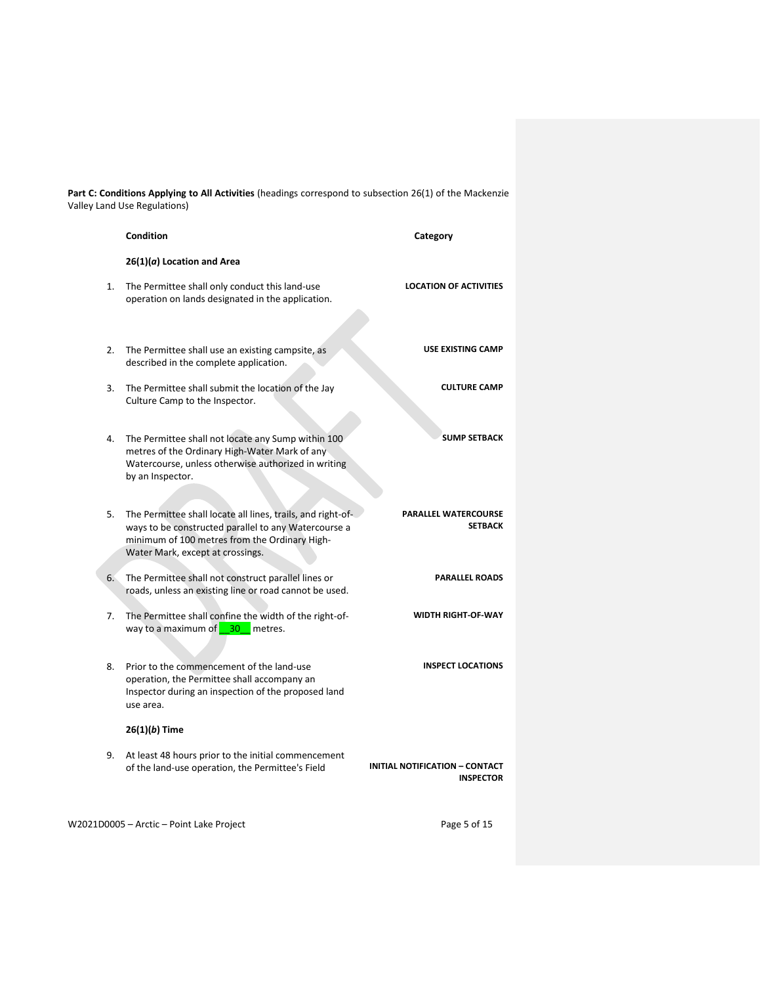**Part C: Conditions Applying to All Activities** (headings correspond to subsection 26(1) of the Mackenzie Valley Land Use Regulations)

|    | Condition                                                                                                                                                                                                | Category                                                  |
|----|----------------------------------------------------------------------------------------------------------------------------------------------------------------------------------------------------------|-----------------------------------------------------------|
|    | $26(1)(a)$ Location and Area                                                                                                                                                                             |                                                           |
| 1. | The Permittee shall only conduct this land-use<br>operation on lands designated in the application.                                                                                                      | <b>LOCATION OF ACTIVITIES</b>                             |
| 2. | The Permittee shall use an existing campsite, as<br>described in the complete application.                                                                                                               | <b>USE EXISTING CAMP</b>                                  |
| 3. | The Permittee shall submit the location of the Jay<br>Culture Camp to the Inspector.                                                                                                                     | <b>CULTURE CAMP</b>                                       |
| 4. | The Permittee shall not locate any Sump within 100<br>metres of the Ordinary High-Water Mark of any<br>Watercourse, unless otherwise authorized in writing<br>by an Inspector.                           | <b>SUMP SETBACK</b>                                       |
|    |                                                                                                                                                                                                          |                                                           |
| 5. | The Permittee shall locate all lines, trails, and right-of-<br>ways to be constructed parallel to any Watercourse a<br>minimum of 100 metres from the Ordinary High-<br>Water Mark, except at crossings. | <b>PARALLEL WATERCOURSE</b><br><b>SETBACK</b>             |
| 6. | The Permittee shall not construct parallel lines or<br>roads, unless an existing line or road cannot be used.                                                                                            | <b>PARALLEL ROADS</b>                                     |
| 7. | The Permittee shall confine the width of the right-of-<br>way to a maximum of<br>$-30$<br>metres.                                                                                                        | <b>WIDTH RIGHT-OF-WAY</b>                                 |
| 8. | Prior to the commencement of the land-use<br>operation, the Permittee shall accompany an<br>Inspector during an inspection of the proposed land<br>use area.                                             | <b>INSPECT LOCATIONS</b>                                  |
|    | 26(1)(b) Time                                                                                                                                                                                            |                                                           |
| 9. | At least 48 hours prior to the initial commencement<br>of the land-use operation, the Permittee's Field                                                                                                  | <b>INITIAL NOTIFICATION - CONTACT</b><br><b>INSPECTOR</b> |
|    | W2021D0005 - Arctic - Point Lake Project                                                                                                                                                                 | Page 5 of 15                                              |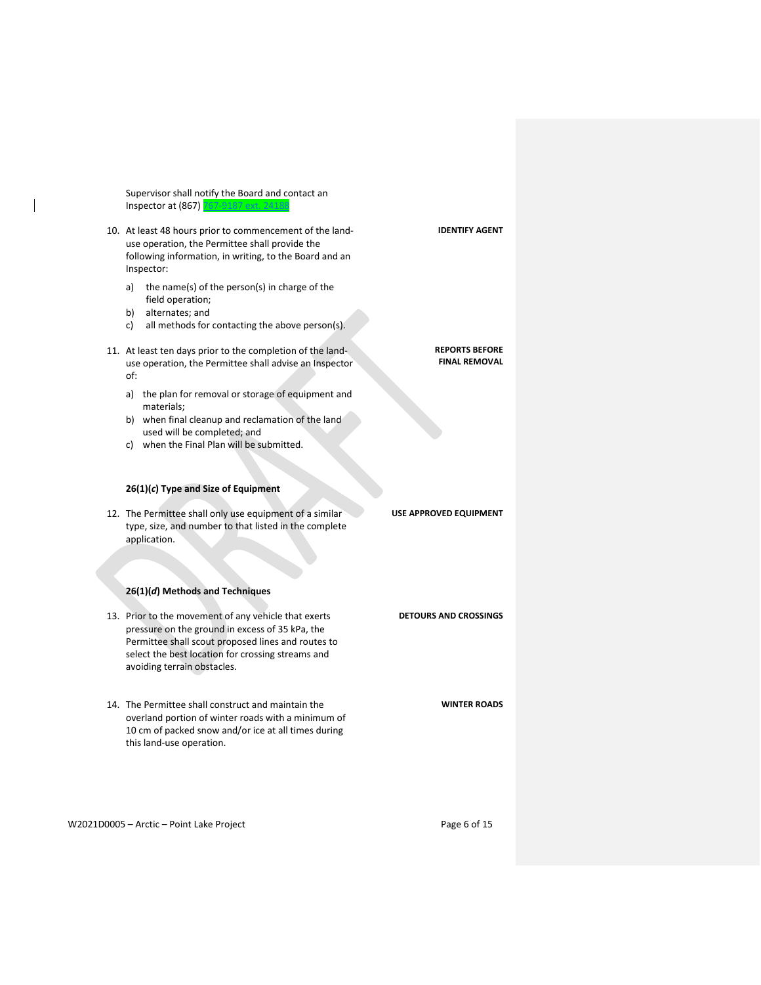Supervisor shall notify the Board and contact an Inspector at (867) 767-9187 ext. 2418

- 10. At least 48 hours prior to commencement of the landuse operation, the Permittee shall provide the following information, in writing, to the Board and an Inspector:
	- a) the name(s) of the person(s) in charge of the field operation;
	- b) alternates; and
	- c) all methods for contacting the above person(s).
- 11. At least ten days prior to the completion of the landuse operation, the Permittee shall advise an Inspector of:
	- a) the plan for removal or storage of equipment and materials;
	- b) when final cleanup and reclamation of the land used will be completed; and
	- c) when the Final Plan will be submitted.

### **26(1)(***c***) Type and Size of Equipment**

12. The Permittee shall only use equipment of a similar type, size, and number to that listed in the complete application.

# **26(1)(***d***) Methods and Techniques**

- 13. Prior to the movement of any vehicle that exerts pressure on the ground in excess of 35 kPa, the Permittee shall scout proposed lines and routes to select the best location for crossing streams and avoiding terrain obstacles. **DETOURS AND CROSSINGS**
- 14. The Permittee shall construct and maintain the overland portion of winter roads with a minimum of 10 cm of packed snow and/or ice at all times during this land-use operation.

W2021D0005 - Arctic - Point Lake Project example that the Page 6 of 15

**WINTER ROADS**

**IDENTIFY AGENT**

**REPORTS BEFORE FINAL REMOVAL**

**USE APPROVED EQUIPMENT**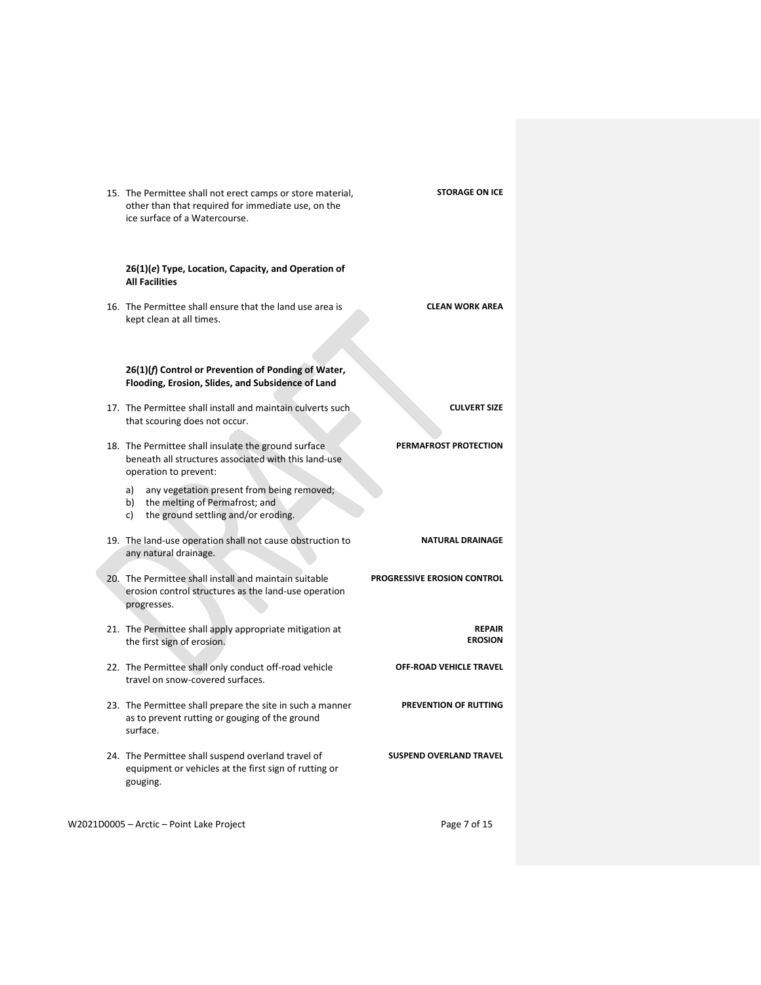| <b>STORAGE ON ICE</b>           | 15. The Permittee shall not erect camps or store material,<br>other than that required for immediate use, on the<br>ice surface of a Watercourse. |  |
|---------------------------------|---------------------------------------------------------------------------------------------------------------------------------------------------|--|
|                                 | 26(1)(e) Type, Location, Capacity, and Operation of<br><b>All Facilities</b>                                                                      |  |
| <b>CLEAN WORK AREA</b>          | 16. The Permittee shall ensure that the land use area is<br>kept clean at all times.                                                              |  |
|                                 | 26(1)(f) Control or Prevention of Ponding of Water,<br>Flooding, Erosion, Slides, and Subsidence of Land                                          |  |
| <b>CULVERT SIZE</b>             | 17. The Permittee shall install and maintain culverts such<br>that scouring does not occur.                                                       |  |
| PERMAFROST PROTECTION           | 18. The Permittee shall insulate the ground surface<br>beneath all structures associated with this land-use<br>operation to prevent:              |  |
|                                 | any vegetation present from being removed;<br>a)<br>b) the melting of Permafrost; and<br>the ground settling and/or eroding.<br>c)                |  |
| <b>NATURAL DRAINAGE</b>         | 19. The land-use operation shall not cause obstruction to<br>any natural drainage.                                                                |  |
| PROGRESSIVE EROSION CONTROL     | 20. The Permittee shall install and maintain suitable<br>erosion control structures as the land-use operation<br>progresses.                      |  |
| <b>REPAIR</b><br><b>EROSION</b> | 21. The Permittee shall apply appropriate mitigation at<br>the first sign of erosion.                                                             |  |
| <b>OFF-ROAD VEHICLE TRAVEL</b>  | 22. The Permittee shall only conduct off-road vehicle<br>travel on snow-covered surfaces.                                                         |  |
| PREVENTION OF RUTTING           | 23. The Permittee shall prepare the site in such a manner<br>as to prevent rutting or gouging of the ground<br>surface.                           |  |
| <b>SUSPEND OVERLAND TRAVEL</b>  | 24. The Permittee shall suspend overland travel of<br>equipment or vehicles at the first sign of rutting or<br>gouging.                           |  |
| Page 7 of 15                    | W2021D0005 - Arctic - Point Lake Project                                                                                                          |  |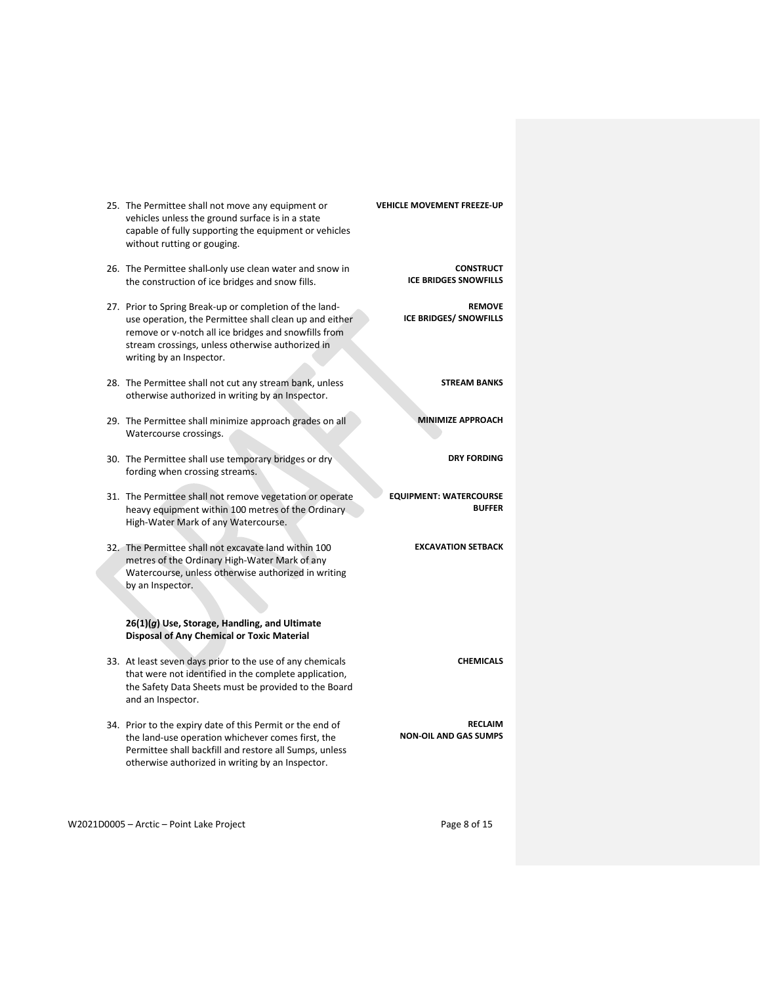| VEHICLE MOVEMENT FREEZE-UP                       | 25. The Permittee shall not move any equipment or<br>vehicles unless the ground surface is in a state<br>capable of fully supporting the equipment or vehicles<br>without rutting or gouging.                                                             |  |
|--------------------------------------------------|-----------------------------------------------------------------------------------------------------------------------------------------------------------------------------------------------------------------------------------------------------------|--|
| <b>CONSTRUCT</b><br><b>ICE BRIDGES SNOWFILLS</b> | 26. The Permittee shall only use clean water and snow in<br>the construction of ice bridges and snow fills.                                                                                                                                               |  |
| <b>REMOVE</b><br><b>ICE BRIDGES/ SNOWFILLS</b>   | 27. Prior to Spring Break-up or completion of the land-<br>use operation, the Permittee shall clean up and either<br>remove or v-notch all ice bridges and snowfills from<br>stream crossings, unless otherwise authorized in<br>writing by an Inspector. |  |
| <b>STREAM BANKS</b>                              | 28. The Permittee shall not cut any stream bank, unless<br>otherwise authorized in writing by an Inspector.                                                                                                                                               |  |
| <b>MINIMIZE APPROACH</b>                         | 29. The Permittee shall minimize approach grades on all<br>Watercourse crossings.                                                                                                                                                                         |  |
| <b>DRY FORDING</b>                               | 30. The Permittee shall use temporary bridges or dry<br>fording when crossing streams.                                                                                                                                                                    |  |
| <b>EQUIPMENT: WATERCOURSE</b><br><b>BUFFER</b>   | 31. The Permittee shall not remove vegetation or operate<br>heavy equipment within 100 metres of the Ordinary<br>High-Water Mark of any Watercourse.                                                                                                      |  |
| <b>EXCAVATION SETBACK</b>                        | 32. The Permittee shall not excavate land within 100<br>metres of the Ordinary High-Water Mark of any<br>Watercourse, unless otherwise authorized in writing<br>by an Inspector.                                                                          |  |
|                                                  | 26(1)(g) Use, Storage, Handling, and Ultimate<br><b>Disposal of Any Chemical or Toxic Material</b>                                                                                                                                                        |  |
| <b>CHEMICALS</b>                                 | 33. At least seven days prior to the use of any chemicals<br>that were not identified in the complete application,<br>the Safety Data Sheets must be provided to the Board<br>and an Inspector.                                                           |  |
| <b>RECLAIM</b><br><b>NON-OIL AND GAS SUMPS</b>   | 34. Prior to the expiry date of this Permit or the end of<br>the land-use operation whichever comes first, the<br>Permittee shall backfill and restore all Sumps, unless<br>otherwise authorized in writing by an Inspector.                              |  |

W2021D0005 - Arctic - Point Lake Project example 2 and 2 and 2 and 2 and 2 and 2 and 2 and 2 and 2 and 2 and 2 and 2 and 2 and 2 and 2 and 2 and 2 and 2 and 2 and 2 and 2 and 2 and 2 and 2 and 2 and 2 and 2 and 2 and 2 and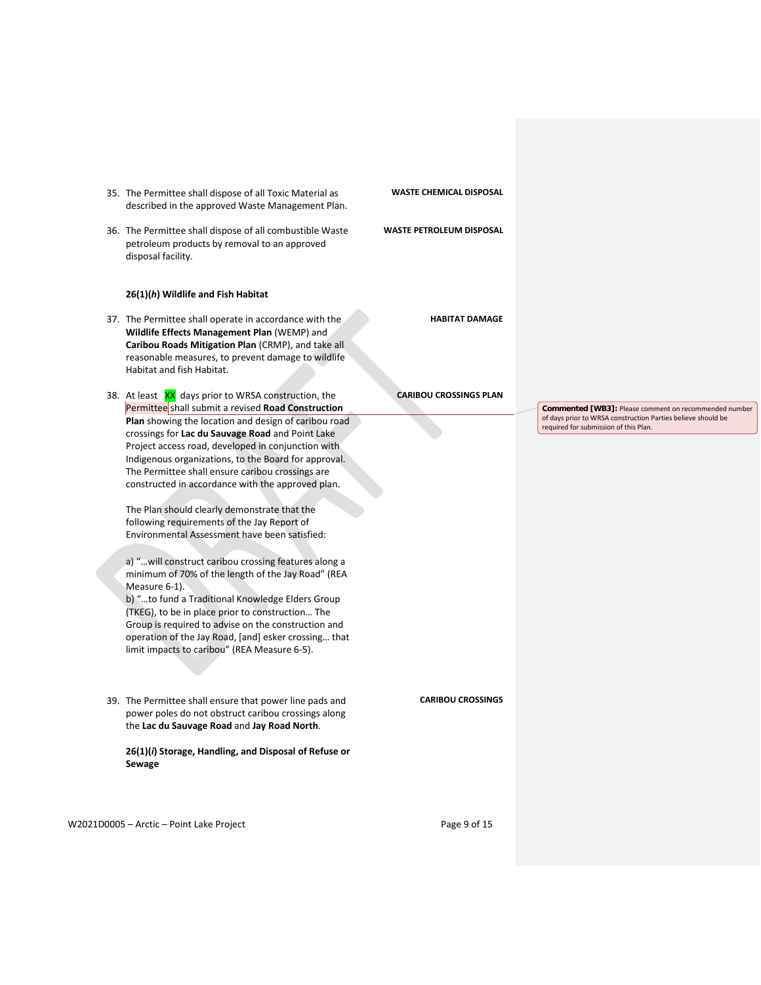- 35. The Permittee shall dispose of all Toxic Material as described in the approved Waste Management Plan.
- 36. The Permittee shall dispose of all combustible Waste petroleum products by removal to an approved disposal facility.

#### **26(1)(***h***) Wildlife and Fish Habitat**

- 37. The Permittee shall operate in accordance with the **Wildlife Effects Management Plan** (WEMP) and **Caribou Roads Mitigation Plan** (CRMP), and take all reasonable measures, to prevent damage to wildlife Habitat and fish Habitat.
- 38. At least XX days prior to WRSA construction, the Permittee shall submit a revised **Road Construction Plan** showing the location and design of caribou road crossings for **Lac du Sauvage Road** and Point Lake Project access road, developed in conjunction with Indigenous organizations, to the Board for approval. The Permittee shall ensure caribou crossings are constructed in accordance with the approved plan.

The Plan should clearly demonstrate that the following requirements of the Jay Report of Environmental Assessment have been satisfied:

a) "…will construct caribou crossing features along a minimum of 70% of the length of the Jay Road" (REA Measure 6-1).

b) "…to fund a Traditional Knowledge Elders Group (TKEG), to be in place prior to construction… The Group is required to advise on the construction and operation of the Jay Road, [and] esker crossing… that limit impacts to caribou" (REA Measure 6-5).

39. The Permittee shall ensure that power line pads and power poles do not obstruct caribou crossings along the **Lac du Sauvage Road** and **Jay Road North**.

**26(1)(***i***) Storage, Handling, and Disposal of Refuse or Sewage**

W2021D0005 – Arctic – Point Lake Project Page 9 of 15

**WASTE CHEMICAL DISPOSAL**

## **WASTE PETROLEUM DISPOSAL**

**HABITAT DAMAGE**

#### **CARIBOU CROSSINGS PLAN**

**Commented [WB3]:** Please comment on recommended number of days prior to WRSA construction Parties believe should be required for submission of this Plan.

**CARIBOU CROSSINGS**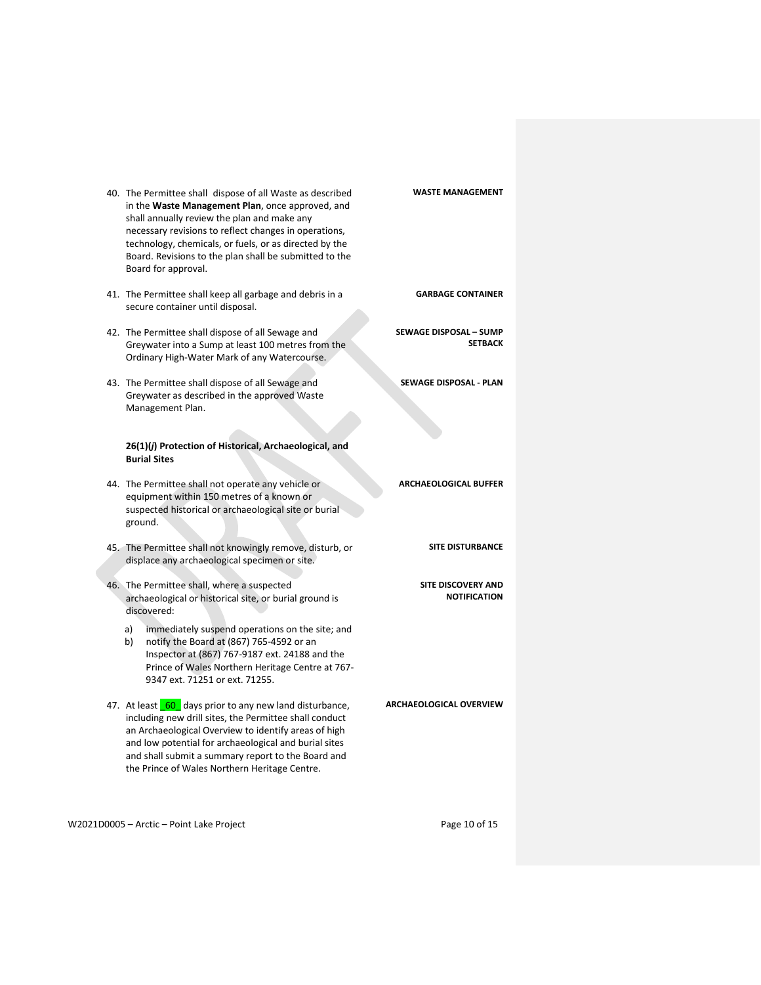| 40. The Permittee shall dispose of all Waste as described<br>in the Waste Management Plan, once approved, and<br>shall annually review the plan and make any<br>necessary revisions to reflect changes in operations,<br>technology, chemicals, or fuels, or as directed by the<br>Board. Revisions to the plan shall be submitted to the<br>Board for approval. | <b>WASTE MANAGEMENT</b>                         |
|------------------------------------------------------------------------------------------------------------------------------------------------------------------------------------------------------------------------------------------------------------------------------------------------------------------------------------------------------------------|-------------------------------------------------|
| 41. The Permittee shall keep all garbage and debris in a<br>secure container until disposal.                                                                                                                                                                                                                                                                     | <b>GARBAGE CONTAINER</b>                        |
| 42. The Permittee shall dispose of all Sewage and<br>Greywater into a Sump at least 100 metres from the<br>Ordinary High-Water Mark of any Watercourse.                                                                                                                                                                                                          | <b>SEWAGE DISPOSAL - SUMP</b><br><b>SETBACK</b> |
| 43. The Permittee shall dispose of all Sewage and<br>Greywater as described in the approved Waste<br>Management Plan.                                                                                                                                                                                                                                            | SEWAGE DISPOSAL - PLAN                          |
| 26(1)(j) Protection of Historical, Archaeological, and<br><b>Burial Sites</b>                                                                                                                                                                                                                                                                                    |                                                 |
| 44. The Permittee shall not operate any vehicle or<br>equipment within 150 metres of a known or<br>suspected historical or archaeological site or burial<br>ground.                                                                                                                                                                                              | <b>ARCHAEOLOGICAL BUFFER</b>                    |
| 45. The Permittee shall not knowingly remove, disturb, or<br>displace any archaeological specimen or site.                                                                                                                                                                                                                                                       | <b>SITE DISTURBANCE</b>                         |
| 46. The Permittee shall, where a suspected<br>archaeological or historical site, or burial ground is<br>discovered:                                                                                                                                                                                                                                              | SITE DISCOVERY AND<br><b>NOTIFICATION</b>       |
| a)<br>immediately suspend operations on the site; and<br>b)<br>notify the Board at (867) 765-4592 or an<br>Inspector at (867) 767-9187 ext. 24188 and the<br>Prince of Wales Northern Heritage Centre at 767-<br>9347 ext. 71251 or ext. 71255.                                                                                                                  |                                                 |
| 47. At least 60 days prior to any new land disturbance,<br>including new drill sites, the Permittee shall conduct<br>an Archaeological Overview to identify areas of high<br>and low potential for archaeological and burial sites<br>and shall submit a summary report to the Board and<br>the Prince of Wales Northern Heritage Centre.                        | <b>ARCHAEOLOGICAL OVERVIEW</b>                  |

W2021D0005 - Arctic - Point Lake Project example 20 of 15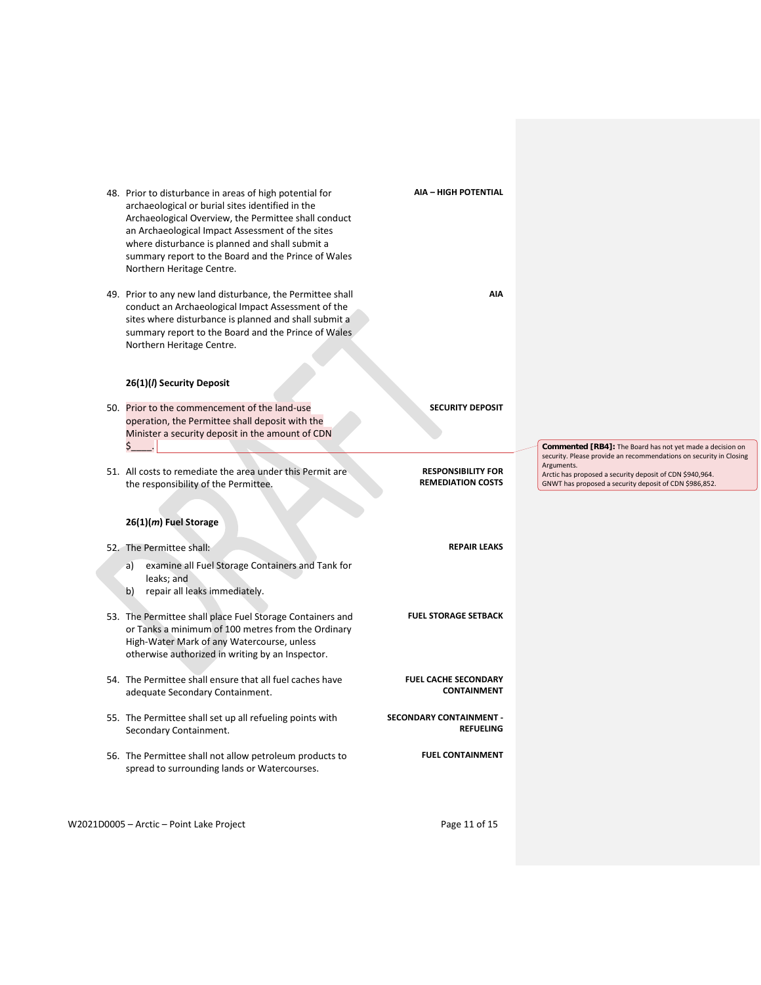| 48. Prior to disturbance in areas of high potential for<br>archaeological or burial sites identified in the<br>Archaeological Overview, the Permittee shall conduct<br>an Archaeological Impact Assessment of the sites<br>where disturbance is planned and shall submit a<br>summary report to the Board and the Prince of Wales<br>Northern Heritage Centre. | <b>AIA - HIGH POTENTIAL</b>                           |                                                                                                                                        |
|----------------------------------------------------------------------------------------------------------------------------------------------------------------------------------------------------------------------------------------------------------------------------------------------------------------------------------------------------------------|-------------------------------------------------------|----------------------------------------------------------------------------------------------------------------------------------------|
| 49. Prior to any new land disturbance, the Permittee shall<br>conduct an Archaeological Impact Assessment of the<br>sites where disturbance is planned and shall submit a<br>summary report to the Board and the Prince of Wales<br>Northern Heritage Centre.                                                                                                  | <b>AIA</b>                                            |                                                                                                                                        |
| 26(1)(/) Security Deposit                                                                                                                                                                                                                                                                                                                                      |                                                       |                                                                                                                                        |
| 50. Prior to the commencement of the land-use<br>operation, the Permittee shall deposit with the<br>Minister a security deposit in the amount of CDN<br>Ś.                                                                                                                                                                                                     | <b>SECURITY DEPOSIT</b>                               | <b>Commented [RB4]:</b> The Board has not yet made a decision on<br>security. Please provide an recommendations on security in Closing |
|                                                                                                                                                                                                                                                                                                                                                                |                                                       |                                                                                                                                        |
| 51. All costs to remediate the area under this Permit are<br>the responsibility of the Permittee.                                                                                                                                                                                                                                                              | <b>RESPONSIBILITY FOR</b><br><b>REMEDIATION COSTS</b> | Arguments.<br>Arctic has proposed a security deposit of CDN \$940,964.<br>GNWT has proposed a security deposit of CDN \$986,852.       |
| 26(1)(m) Fuel Storage<br>52. The Permittee shall:                                                                                                                                                                                                                                                                                                              | <b>REPAIR LEAKS</b>                                   |                                                                                                                                        |
| examine all Fuel Storage Containers and Tank for<br>a)<br>leaks; and<br>repair all leaks immediately.<br>b)                                                                                                                                                                                                                                                    |                                                       |                                                                                                                                        |
| 53. The Permittee shall place Fuel Storage Containers and<br>or Tanks a minimum of 100 metres from the Ordinary<br>High-Water Mark of any Watercourse, unless<br>otherwise authorized in writing by an Inspector.                                                                                                                                              | <b>FUEL STORAGE SETBACK</b>                           |                                                                                                                                        |
| 54. The Permittee shall ensure that all fuel caches have<br>adequate Secondary Containment.                                                                                                                                                                                                                                                                    | <b>FUEL CACHE SECONDARY</b><br><b>CONTAINMENT</b>     |                                                                                                                                        |
| 55. The Permittee shall set up all refueling points with<br>Secondary Containment.                                                                                                                                                                                                                                                                             | <b>SECONDARY CONTAINMENT -</b><br><b>REFUELING</b>    |                                                                                                                                        |

W2021D0005 – Arctic – Point Lake Project extending the Magnus Page 11 of 15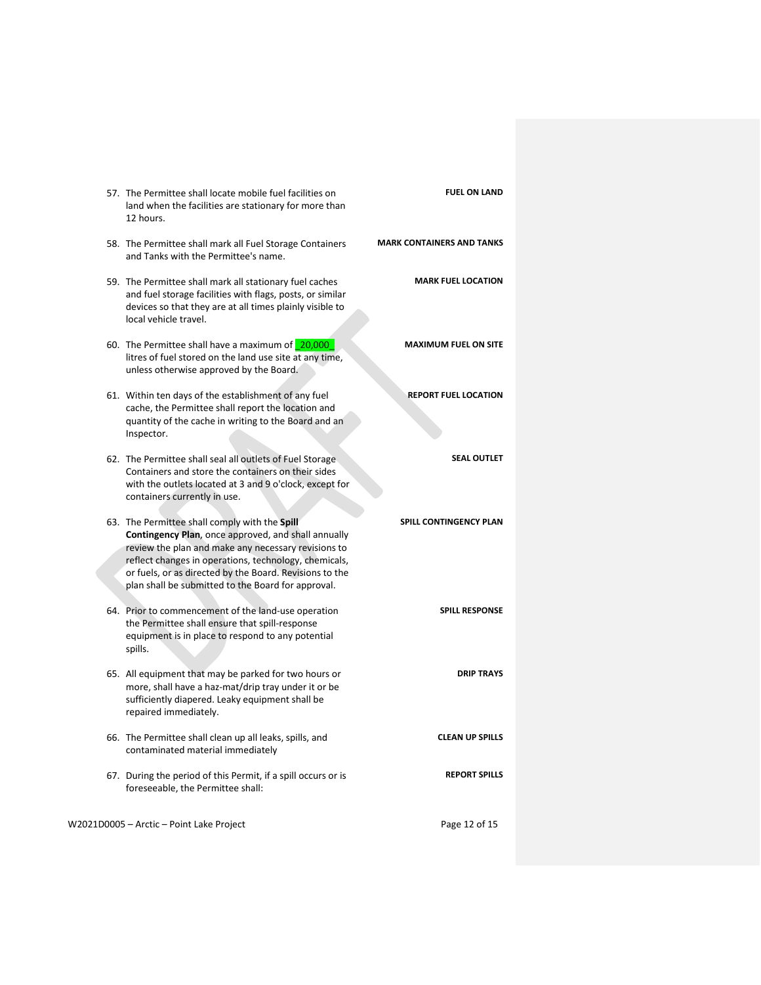| <b>FUEL ON LAND</b>              | 57. The Permittee shall locate mobile fuel facilities on<br>land when the facilities are stationary for more than<br>12 hours.                                                                                                                                                                                                               |  |
|----------------------------------|----------------------------------------------------------------------------------------------------------------------------------------------------------------------------------------------------------------------------------------------------------------------------------------------------------------------------------------------|--|
| <b>MARK CONTAINERS AND TANKS</b> | 58. The Permittee shall mark all Fuel Storage Containers<br>and Tanks with the Permittee's name.                                                                                                                                                                                                                                             |  |
| <b>MARK FUEL LOCATION</b>        | 59. The Permittee shall mark all stationary fuel caches<br>and fuel storage facilities with flags, posts, or similar<br>devices so that they are at all times plainly visible to<br>local vehicle travel.                                                                                                                                    |  |
| <b>MAXIMUM FUEL ON SITE</b>      | 60. The Permittee shall have a maximum of 20,000<br>litres of fuel stored on the land use site at any time,<br>unless otherwise approved by the Board.                                                                                                                                                                                       |  |
| <b>REPORT FUEL LOCATION</b>      | 61. Within ten days of the establishment of any fuel<br>cache, the Permittee shall report the location and<br>quantity of the cache in writing to the Board and an<br>Inspector.                                                                                                                                                             |  |
| <b>SEAL OUTLET</b>               | 62. The Permittee shall seal all outlets of Fuel Storage.<br>Containers and store the containers on their sides<br>with the outlets located at 3 and 9 o'clock, except for<br>containers currently in use.                                                                                                                                   |  |
| <b>SPILL CONTINGENCY PLAN</b>    | 63. The Permittee shall comply with the Spill<br><b>Contingency Plan, once approved, and shall annually</b><br>review the plan and make any necessary revisions to<br>reflect changes in operations, technology, chemicals,<br>or fuels, or as directed by the Board. Revisions to the<br>plan shall be submitted to the Board for approval. |  |
| <b>SPILL RESPONSE</b>            | 64. Prior to commencement of the land-use operation<br>the Permittee shall ensure that spill-response<br>equipment is in place to respond to any potential<br>spills.                                                                                                                                                                        |  |
| <b>DRIP TRAYS</b>                | 65. All equipment that may be parked for two hours or<br>more, shall have a haz-mat/drip tray under it or be<br>sufficiently diapered. Leaky equipment shall be<br>repaired immediately.                                                                                                                                                     |  |
| <b>CLEAN UP SPILLS</b>           | 66. The Permittee shall clean up all leaks, spills, and<br>contaminated material immediately                                                                                                                                                                                                                                                 |  |
| <b>REPORT SPILLS</b>             | 67. During the period of this Permit, if a spill occurs or is<br>foreseeable, the Permittee shall:                                                                                                                                                                                                                                           |  |
| Page 12 of 15                    | W2021D0005 - Arctic - Point Lake Project                                                                                                                                                                                                                                                                                                     |  |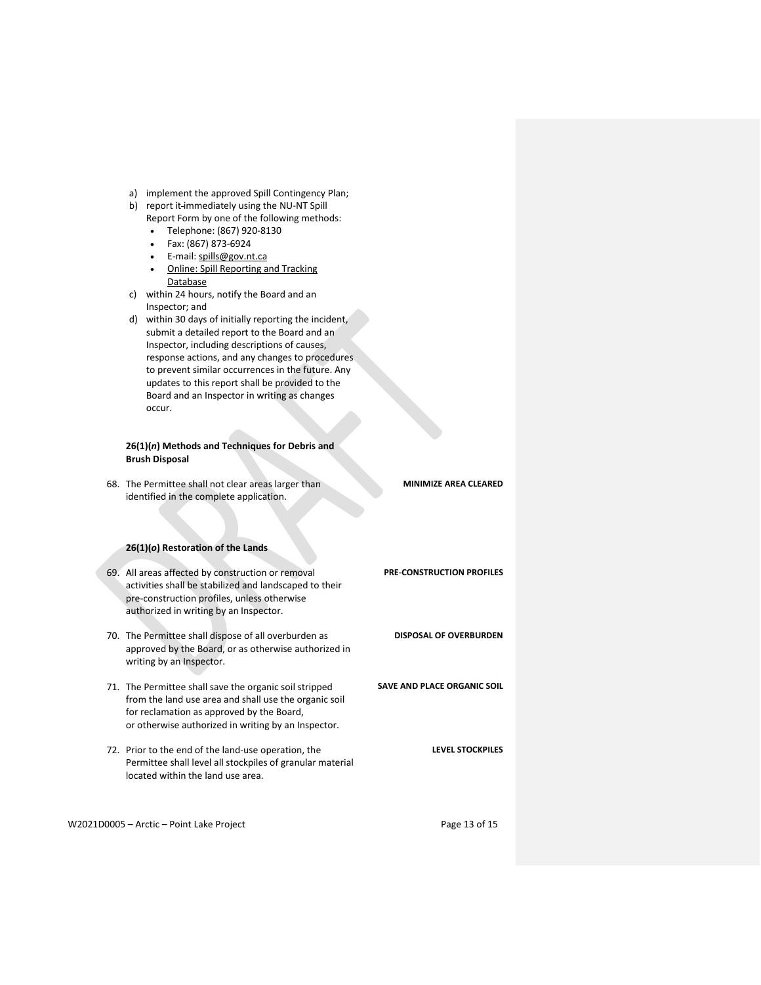- a) implement the approved Spill Contingency Plan;
- b) report it immediately using the NU-NT Spill
	- Report Form by one of the following methods:
	- Telephone: (867) 920-8130 • Fax: (867) 873-6924
	- E-mail[: spills@gov.nt.ca](mailto:spills@gov.nt.ca)
	- Online: Spill Reporting and Tracking
- Database c) within 24 hours, notify the Board and an
- Inspector; and d) within 30 days of initially reporting the incident, submit a detailed report to the Board and an Inspector, including descriptions of causes, response actions, and any changes to procedures to prevent similar occurrences in the future. Any updates to this report shall be provided to the Board and an Inspector in writing as changes occur.

## **26(1)(***n***) Methods and Techniques for Debris and Brush Disposal**

68. The Permittee shall not clear areas larger than identified in the complete application. **MINIMIZE AREA CLEARED**

# **26(1)(***o***) Restoration of the Lands**

69. All areas affected by construction or removal activities shall be stabilized and landscaped to their pre-construction profiles, unless otherwise authorized in writing by an Inspector. **PRE-CONSTRUCTION PROFILES** 70. The Permittee shall dispose of all overburden as approved by the Board, or as otherwise authorized in writing by an Inspector. **DISPOSAL OF OVERBURDEN** 71. The Permittee shall save the organic soil stripped from the land use area and shall use the organic soil for reclamation as approved by the Board, or otherwise authorized in writing by an Inspector. **SAVE AND PLACE ORGANIC SOIL** 72. Prior to the end of the land-use operation, the Permittee shall level all stockpiles of granular material located within the land use area. **LEVEL STOCKPILES**

W2021D0005 – Arctic – Point Lake Project example the example of the Page 13 of 15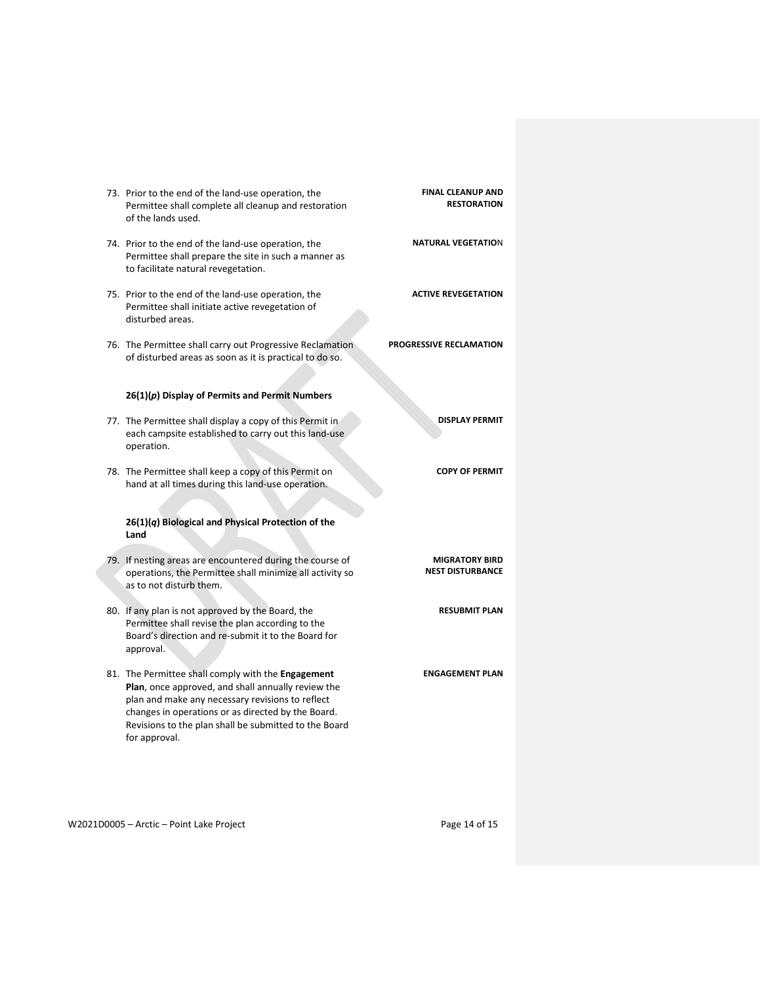| 73. Prior to the end of the land-use operation, the<br>Permittee shall complete all cleanup and restoration<br>of the lands used.                                                                                                                                                            | <b>FINAL CLEANUP AND</b><br><b>RESTORATION</b>   |
|----------------------------------------------------------------------------------------------------------------------------------------------------------------------------------------------------------------------------------------------------------------------------------------------|--------------------------------------------------|
| 74. Prior to the end of the land-use operation, the<br>Permittee shall prepare the site in such a manner as<br>to facilitate natural revegetation.                                                                                                                                           | <b>NATURAL VEGETATION</b>                        |
| 75. Prior to the end of the land-use operation, the<br>Permittee shall initiate active revegetation of<br>disturbed areas.                                                                                                                                                                   | <b>ACTIVE REVEGETATION</b>                       |
| 76. The Permittee shall carry out Progressive Reclamation<br>of disturbed areas as soon as it is practical to do so.                                                                                                                                                                         | PROGRESSIVE RECLAMATION                          |
| $26(1)(p)$ Display of Permits and Permit Numbers                                                                                                                                                                                                                                             |                                                  |
| 77. The Permittee shall display a copy of this Permit in<br>each campsite established to carry out this land-use<br>operation.                                                                                                                                                               | <b>DISPLAY PERMIT</b>                            |
| 78. The Permittee shall keep a copy of this Permit on<br>hand at all times during this land-use operation.                                                                                                                                                                                   | <b>COPY OF PERMIT</b>                            |
| $26(1)(q)$ Biological and Physical Protection of the<br>Land                                                                                                                                                                                                                                 |                                                  |
| 79. If nesting areas are encountered during the course of<br>operations, the Permittee shall minimize all activity so<br>as to not disturb them.                                                                                                                                             | <b>MIGRATORY BIRD</b><br><b>NEST DISTURBANCE</b> |
| 80. If any plan is not approved by the Board, the<br>Permittee shall revise the plan according to the<br>Board's direction and re-submit it to the Board for<br>approval.                                                                                                                    | <b>RESUBMIT PLAN</b>                             |
| 81. The Permittee shall comply with the Engagement<br>Plan, once approved, and shall annually review the<br>plan and make any necessary revisions to reflect<br>changes in operations or as directed by the Board.<br>Revisions to the plan shall be submitted to the Board<br>for approval. | <b>ENGAGEMENT PLAN</b>                           |

W2021D0005 - Arctic - Point Lake Project example that the control of 15